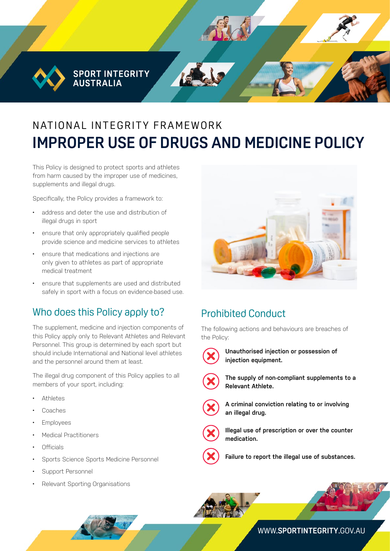SPORT INTEGRITY<br>AUSTRALIA

# NAT IONAL INTEGRITY FRAMEWORK **IMPROPER USE OF DRUGS AND MEDICINE POLICY**

This Policy is designed to protect sports and athletes from harm caused by the improper use of medicines, supplements and illegal drugs.

Specifically, the Policy provides a framework to:

- address and deter the use and distribution of illegal drugs in sport
- ensure that only appropriately qualified people provide science and medicine services to athletes
- ensure that medications and injections are only given to athletes as part of appropriate medical treatment
- ensure that supplements are used and distributed safely in sport with a focus on evidence-based use.

#### Who does this Policy apply to?

The supplement, medicine and injection components of this Policy apply only to Relevant Athletes and Relevant Personnel. This group is determined by each sport but should include International and National level athletes and the personnel around them at least.

The illegal drug component of this Policy applies to all members of your sport, including:

- Athletes
- Coaches
- **Employees**
- Medical Practitioners
- Officials
- Sports Science Sports Medicine Personnel
- Support Personnel
- Relevant Sporting Organisations



## Prohibited Conduct

The following actions and behaviours are breaches of the Policy:



**Unauthorised injection or possession of injection equipment.** 



**The supply of non-compliant supplements to a Relevant Athlete.** 



**A criminal conviction relating to or involving an illegal drug.** 



**Illegal use of prescription or over the counter medication.** 



**Failure to report the illegal use of substances.**